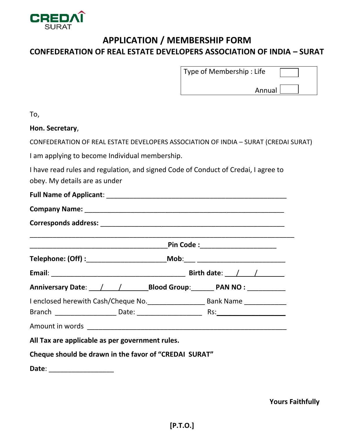

## **APPLICATION / MEMBERSHIP FORM CONFEDERATION OF REAL ESTATE DEVELOPERS ASSOCIATION OF INDIA – SURAT**

| Type of Membership : Life |  |
|---------------------------|--|
|---------------------------|--|

Annual

| To,                                                                                                                 |                                   |
|---------------------------------------------------------------------------------------------------------------------|-----------------------------------|
| Hon. Secretary,                                                                                                     |                                   |
| CONFEDERATION OF REAL ESTATE DEVELOPERS ASSOCIATION OF INDIA - SURAT (CREDAI SURAT)                                 |                                   |
| I am applying to become Individual membership.                                                                      |                                   |
| I have read rules and regulation, and signed Code of Conduct of Credai, I agree to<br>obey. My details are as under |                                   |
|                                                                                                                     |                                   |
|                                                                                                                     |                                   |
|                                                                                                                     |                                   |
|                                                                                                                     | Pin Code :_______________________ |
|                                                                                                                     |                                   |
|                                                                                                                     |                                   |
| Anniversary Date: / / / Blood Group: PAN NO: _______                                                                |                                   |
|                                                                                                                     |                                   |
|                                                                                                                     |                                   |
|                                                                                                                     |                                   |
| All Tax are applicable as per government rules.                                                                     |                                   |
| Cheque should be drawn in the favor of "CREDAI SURAT"                                                               |                                   |
|                                                                                                                     |                                   |

**Date**: \_\_\_\_\_\_\_\_\_\_\_\_\_\_\_\_\_